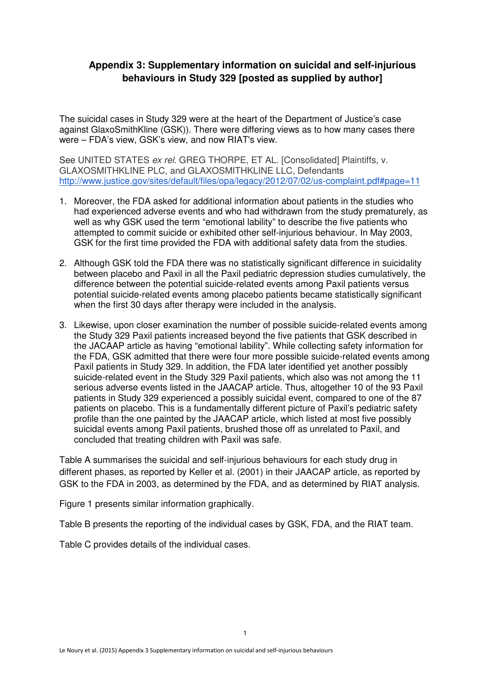## **Appendix 3: Supplementary information on suicidal and self-injurious behaviours in Study 329 [posted as supplied by author]**

The suicidal cases in Study 329 were at the heart of the Department of Justice's case against GlaxoSmithKline (GSK)). There were differing views as to how many cases there were – FDA's view, GSK's view, and now RIAT's view.

See UNITED STATES ex rel. GREG THORPE, ET AL. [Consolidated] Plaintiffs, v. GLAXOSMITHKLINE PLC, and GLAXOSMITHKLINE LLC, Defendants http://www.justice.gov/sites/default/files/opa/legacy/2012/07/02/us-complaint.pdf#page=11

- 1. Moreover, the FDA asked for additional information about patients in the studies who had experienced adverse events and who had withdrawn from the study prematurely, as well as why GSK used the term "emotional lability" to describe the five patients who attempted to commit suicide or exhibited other self-injurious behaviour. In May 2003, GSK for the first time provided the FDA with additional safety data from the studies.
- 2. Although GSK told the FDA there was no statistically significant difference in suicidality between placebo and Paxil in all the Paxil pediatric depression studies cumulatively, the difference between the potential suicide-related events among Paxil patients versus potential suicide-related events among placebo patients became statistically significant when the first 30 days after therapy were included in the analysis.
- 3. Likewise, upon closer examination the number of possible suicide-related events among the Study 329 Paxil patients increased beyond the five patients that GSK described in the JACAAP article as having "emotional lability". While collecting safety information for the FDA, GSK admitted that there were four more possible suicide-related events among Paxil patients in Study 329. In addition, the FDA later identified yet another possibly suicide-related event in the Study 329 Paxil patients, which also was not among the 11 serious adverse events listed in the JAACAP article. Thus, altogether 10 of the 93 Paxil patients in Study 329 experienced a possibly suicidal event, compared to one of the 87 patients on placebo. This is a fundamentally different picture of Paxil's pediatric safety profile than the one painted by the JAACAP article, which listed at most five possibly suicidal events among Paxil patients, brushed those off as unrelated to Paxil, and concluded that treating children with Paxil was safe.

Table A summarises the suicidal and self-injurious behaviours for each study drug in different phases, as reported by Keller et al. (2001) in their JAACAP article, as reported by GSK to the FDA in 2003, as determined by the FDA, and as determined by RIAT analysis.

Figure 1 presents similar information graphically.

Table B presents the reporting of the individual cases by GSK, FDA, and the RIAT team.

Table C provides details of the individual cases.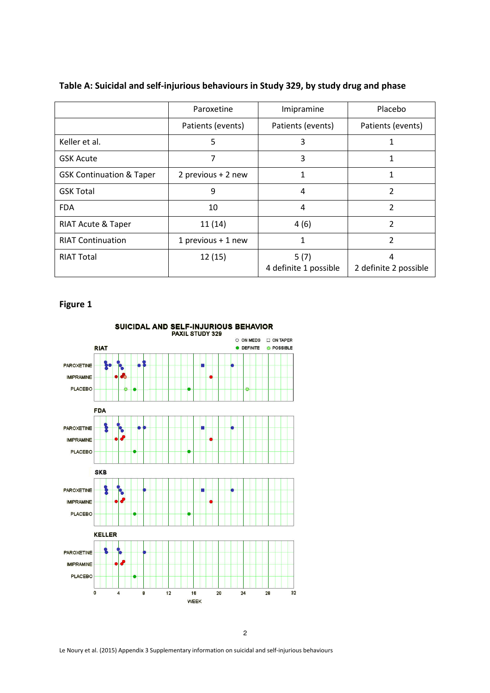|                                     | Paroxetine           | Imipramine                    | Placebo                    |
|-------------------------------------|----------------------|-------------------------------|----------------------------|
|                                     | Patients (events)    | Patients (events)             | Patients (events)          |
| Keller et al.                       | 5                    | 3                             | 1                          |
| <b>GSK Acute</b>                    | 7                    | 3                             |                            |
| <b>GSK Continuation &amp; Taper</b> | 2 previous + 2 new   | 1                             | 1                          |
| <b>GSK Total</b>                    | 9                    | 4                             | 2                          |
| <b>FDA</b>                          | 10                   | 4                             | 2                          |
| RIAT Acute & Taper                  | 11(14)               | 4(6)                          | 2                          |
| <b>RIAT Continuation</b>            | 1 previous $+$ 1 new | 1                             | 2                          |
| <b>RIAT Total</b>                   | 12(15)               | 5(7)<br>4 definite 1 possible | 4<br>2 definite 2 possible |

### Table A: Suicidal and self-injurious behaviours in Study 329, by study drug and phase

## Figure 1



Le Noury et al. (2015) Appendix 3 Supplementary information on suicidal and self-injurious behaviours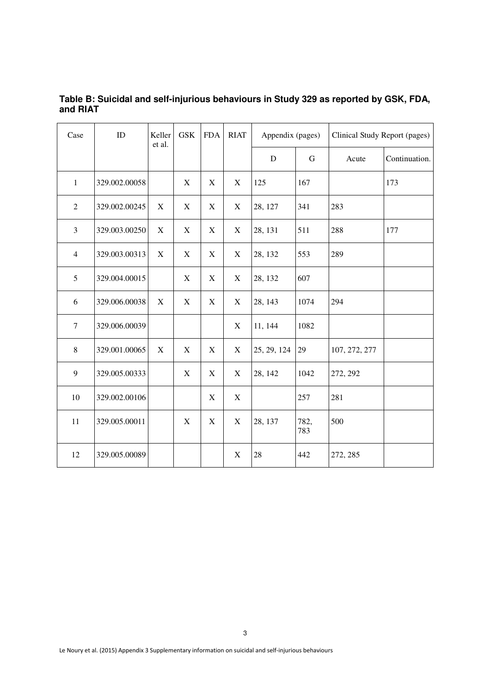| Table B: Suicidal and self-injurious behaviours in Study 329 as reported by GSK, FDA, |  |
|---------------------------------------------------------------------------------------|--|
| and RIAT                                                                              |  |

| Case             | ID            | Keller<br>et al. | <b>GSK</b>                | <b>FDA</b>                | <b>RIAT</b> | Appendix (pages) |             | Clinical Study Report (pages) |               |
|------------------|---------------|------------------|---------------------------|---------------------------|-------------|------------------|-------------|-------------------------------|---------------|
|                  |               |                  |                           |                           |             | ${\bf D}$        | $\mathbf G$ | Acute                         | Continuation. |
| $\mathbf{1}$     | 329.002.00058 |                  | $\mathbf X$               | X                         | $\mathbf X$ | 125              | 167         |                               | 173           |
| $\sqrt{2}$       | 329.002.00245 | $\mathbf X$      | $\mathbf X$               | $\mathbf X$               | $\mathbf X$ | 28, 127          | 341         | 283                           |               |
| $\overline{3}$   | 329.003.00250 | $\boldsymbol{X}$ | X                         | $\boldsymbol{\mathrm{X}}$ | $\mathbf X$ | 28, 131          | 511         | 288                           | 177           |
| $\overline{4}$   | 329.003.00313 | $\boldsymbol{X}$ | X                         | X                         | $\mathbf X$ | 28, 132          | 553         | 289                           |               |
| 5                | 329.004.00015 |                  | $\boldsymbol{\mathrm{X}}$ | X                         | $\mathbf X$ | 28, 132          | 607         |                               |               |
| 6                | 329.006.00038 | $\mathbf X$      | $\mathbf X$               | $\mathbf X$               | $\mathbf X$ | 28, 143          | 1074        | 294                           |               |
| $\boldsymbol{7}$ | 329.006.00039 |                  |                           |                           | $\mathbf X$ | 11, 144          | 1082        |                               |               |
| 8                | 329.001.00065 | $\mathbf X$      | $\boldsymbol{\mathrm{X}}$ | X                         | $\mathbf X$ | 25, 29, 124      | 29          | 107, 272, 277                 |               |
| 9                | 329.005.00333 |                  | $\mathbf X$               | $\mathbf X$               | $\mathbf X$ | 28, 142          | 1042        | 272, 292                      |               |
| $10\,$           | 329.002.00106 |                  |                           | $\mathbf X$               | $\mathbf X$ |                  | 257         | 281                           |               |
| 11               | 329.005.00011 |                  | $\mathbf X$               | $\mathbf X$               | $\mathbf X$ | 28, 137          | 782,<br>783 | 500                           |               |
| 12               | 329.005.00089 |                  |                           |                           | $\mathbf X$ | 28               | 442         | 272, 285                      |               |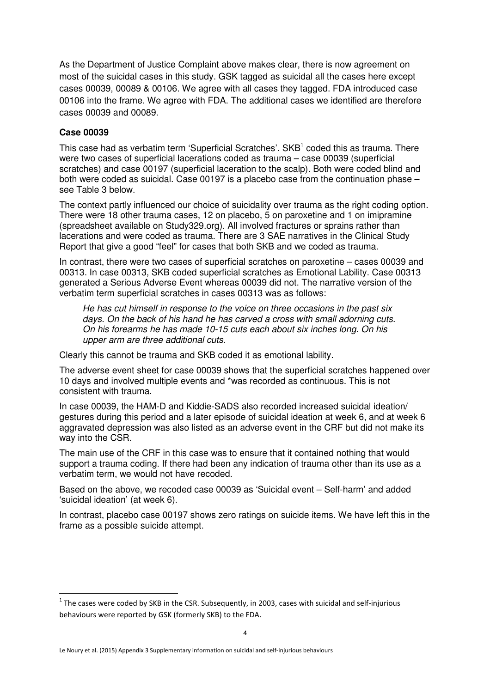As the Department of Justice Complaint above makes clear, there is now agreement on most of the suicidal cases in this study. GSK tagged as suicidal all the cases here except cases 00039, 00089 & 00106. We agree with all cases they tagged. FDA introduced case 00106 into the frame. We agree with FDA. The additional cases we identified are therefore cases 00039 and 00089.

#### **Case 00039**

 $\overline{a}$ 

This case had as verbatim term 'Superficial Scratches'.  $SKB<sup>1</sup>$  coded this as trauma. There were two cases of superficial lacerations coded as trauma – case 00039 (superficial scratches) and case 00197 (superficial laceration to the scalp). Both were coded blind and both were coded as suicidal. Case 00197 is a placebo case from the continuation phase – see Table 3 below.

The context partly influenced our choice of suicidality over trauma as the right coding option. There were 18 other trauma cases, 12 on placebo, 5 on paroxetine and 1 on imipramine (spreadsheet available on Study329.org). All involved fractures or sprains rather than lacerations and were coded as trauma. There are 3 SAE narratives in the Clinical Study Report that give a good "feel" for cases that both SKB and we coded as trauma.

In contrast, there were two cases of superficial scratches on paroxetine – cases 00039 and 00313. In case 00313, SKB coded superficial scratches as Emotional Lability. Case 00313 generated a Serious Adverse Event whereas 00039 did not. The narrative version of the verbatim term superficial scratches in cases 00313 was as follows:

He has cut himself in response to the voice on three occasions in the past six days. On the back of his hand he has carved a cross with small adorning cuts. On his forearms he has made 10-15 cuts each about six inches long. On his upper arm are three additional cuts.

Clearly this cannot be trauma and SKB coded it as emotional lability.

The adverse event sheet for case 00039 shows that the superficial scratches happened over 10 days and involved multiple events and \*was recorded as continuous. This is not consistent with trauma.

In case 00039, the HAM-D and Kiddie-SADS also recorded increased suicidal ideation/ gestures during this period and a later episode of suicidal ideation at week 6, and at week 6 aggravated depression was also listed as an adverse event in the CRF but did not make its way into the CSR.

The main use of the CRF in this case was to ensure that it contained nothing that would support a trauma coding. If there had been any indication of trauma other than its use as a verbatim term, we would not have recoded.

Based on the above, we recoded case 00039 as 'Suicidal event – Self-harm' and added 'suicidal ideation' (at week 6).

In contrast, placebo case 00197 shows zero ratings on suicide items. We have left this in the frame as a possible suicide attempt.

 $^{\text{1}}$  The cases were coded by SKB in the CSR. Subsequently, in 2003, cases with suicidal and self-injurious behaviours were reported by GSK (formerly SKB) to the FDA.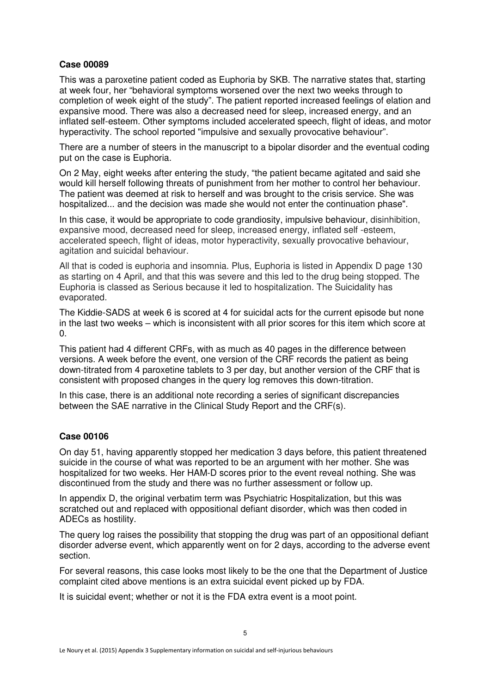#### **Case 00089**

This was a paroxetine patient coded as Euphoria by SKB. The narrative states that, starting at week four, her "behavioral symptoms worsened over the next two weeks through to completion of week eight of the study". The patient reported increased feelings of elation and expansive mood. There was also a decreased need for sleep, increased energy, and an inflated self-esteem. Other symptoms included accelerated speech, flight of ideas, and motor hyperactivity. The school reported "impulsive and sexually provocative behaviour".

There are a number of steers in the manuscript to a bipolar disorder and the eventual coding put on the case is Euphoria.

On 2 May, eight weeks after entering the study, "the patient became agitated and said she would kill herself following threats of punishment from her mother to control her behaviour. The patient was deemed at risk to herself and was brought to the crisis service. She was hospitalized... and the decision was made she would not enter the continuation phase".

In this case, it would be appropriate to code grandiosity, impulsive behaviour, disinhibition, expansive mood, decreased need for sleep, increased energy, inflated self -esteem, accelerated speech, flight of ideas, motor hyperactivity, sexually provocative behaviour, agitation and suicidal behaviour.

All that is coded is euphoria and insomnia. Plus, Euphoria is listed in Appendix D page 130 as starting on 4 April, and that this was severe and this led to the drug being stopped. The Euphoria is classed as Serious because it led to hospitalization. The Suicidality has evaporated.

The Kiddie-SADS at week 6 is scored at 4 for suicidal acts for the current episode but none in the last two weeks – which is inconsistent with all prior scores for this item which score at 0.

This patient had 4 different CRFs, with as much as 40 pages in the difference between versions. A week before the event, one version of the CRF records the patient as being down-titrated from 4 paroxetine tablets to 3 per day, but another version of the CRF that is consistent with proposed changes in the query log removes this down-titration.

In this case, there is an additional note recording a series of significant discrepancies between the SAE narrative in the Clinical Study Report and the CRF(s).

#### **Case 00106**

On day 51, having apparently stopped her medication 3 days before, this patient threatened suicide in the course of what was reported to be an argument with her mother. She was hospitalized for two weeks. Her HAM-D scores prior to the event reveal nothing. She was discontinued from the study and there was no further assessment or follow up.

In appendix D, the original verbatim term was Psychiatric Hospitalization, but this was scratched out and replaced with oppositional defiant disorder, which was then coded in ADECs as hostility.

The query log raises the possibility that stopping the drug was part of an oppositional defiant disorder adverse event, which apparently went on for 2 days, according to the adverse event section.

For several reasons, this case looks most likely to be the one that the Department of Justice complaint cited above mentions is an extra suicidal event picked up by FDA.

It is suicidal event; whether or not it is the FDA extra event is a moot point.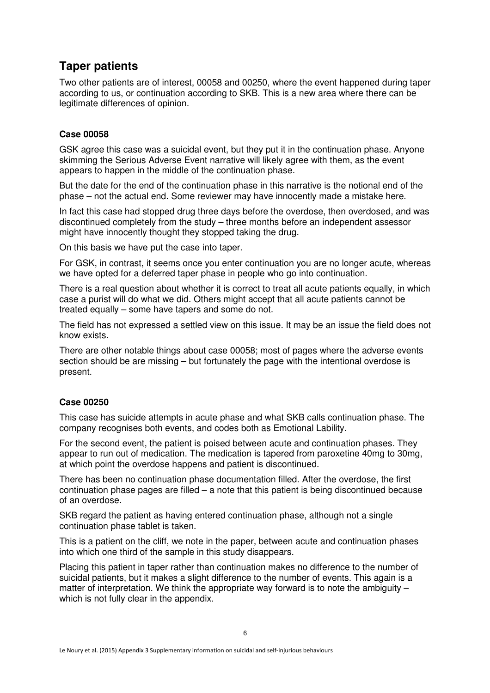# **Taper patients**

Two other patients are of interest, 00058 and 00250, where the event happened during taper according to us, or continuation according to SKB. This is a new area where there can be legitimate differences of opinion.

#### **Case 00058**

GSK agree this case was a suicidal event, but they put it in the continuation phase. Anyone skimming the Serious Adverse Event narrative will likely agree with them, as the event appears to happen in the middle of the continuation phase.

But the date for the end of the continuation phase in this narrative is the notional end of the phase – not the actual end. Some reviewer may have innocently made a mistake here.

In fact this case had stopped drug three days before the overdose, then overdosed, and was discontinued completely from the study – three months before an independent assessor might have innocently thought they stopped taking the drug.

On this basis we have put the case into taper.

For GSK, in contrast, it seems once you enter continuation you are no longer acute, whereas we have opted for a deferred taper phase in people who go into continuation.

There is a real question about whether it is correct to treat all acute patients equally, in which case a purist will do what we did. Others might accept that all acute patients cannot be treated equally – some have tapers and some do not.

The field has not expressed a settled view on this issue. It may be an issue the field does not know exists.

There are other notable things about case 00058; most of pages where the adverse events section should be are missing – but fortunately the page with the intentional overdose is present.

### **Case 00250**

This case has suicide attempts in acute phase and what SKB calls continuation phase. The company recognises both events, and codes both as Emotional Lability.

For the second event, the patient is poised between acute and continuation phases. They appear to run out of medication. The medication is tapered from paroxetine 40mg to 30mg, at which point the overdose happens and patient is discontinued.

There has been no continuation phase documentation filled. After the overdose, the first continuation phase pages are filled – a note that this patient is being discontinued because of an overdose.

SKB regard the patient as having entered continuation phase, although not a single continuation phase tablet is taken.

This is a patient on the cliff, we note in the paper, between acute and continuation phases into which one third of the sample in this study disappears.

Placing this patient in taper rather than continuation makes no difference to the number of suicidal patients, but it makes a slight difference to the number of events. This again is a matter of interpretation. We think the appropriate way forward is to note the ambiguity – which is not fully clear in the appendix.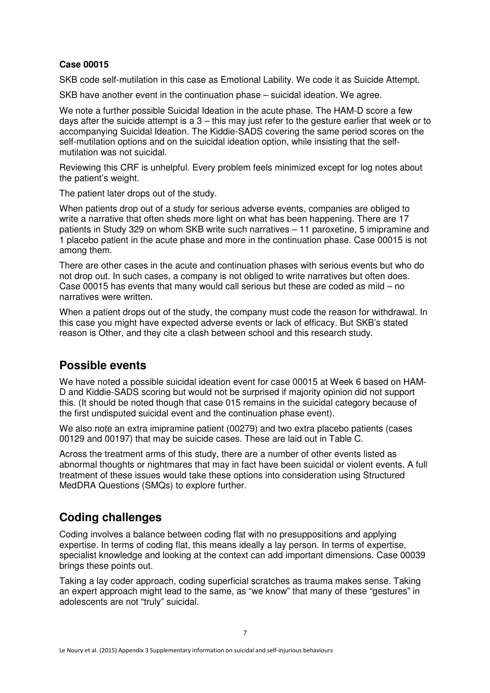### **Case 00015**

SKB code self-mutilation in this case as Emotional Lability. We code it as Suicide Attempt.

SKB have another event in the continuation phase – suicidal ideation. We agree.

We note a further possible Suicidal Ideation in the acute phase. The HAM-D score a few days after the suicide attempt is a 3 – this may just refer to the gesture earlier that week or to accompanying Suicidal Ideation. The Kiddie-SADS covering the same period scores on the self-mutilation options and on the suicidal ideation option, while insisting that the selfmutilation was not suicidal.

Reviewing this CRF is unhelpful. Every problem feels minimized except for log notes about the patient's weight.

The patient later drops out of the study.

When patients drop out of a study for serious adverse events, companies are obliged to write a narrative that often sheds more light on what has been happening. There are 17 patients in Study 329 on whom SKB write such narratives – 11 paroxetine, 5 imipramine and 1 placebo patient in the acute phase and more in the continuation phase. Case 00015 is not among them.

There are other cases in the acute and continuation phases with serious events but who do not drop out. In such cases, a company is not obliged to write narratives but often does. Case 00015 has events that many would call serious but these are coded as mild – no narratives were written.

When a patient drops out of the study, the company must code the reason for withdrawal. In this case you might have expected adverse events or lack of efficacy. But SKB's stated reason is Other, and they cite a clash between school and this research study.

# **Possible events**

We have noted a possible suicidal ideation event for case 00015 at Week 6 based on HAM-D and Kiddie-SADS scoring but would not be surprised if majority opinion did not support this. (It should be noted though that case 015 remains in the suicidal category because of the first undisputed suicidal event and the continuation phase event).

We also note an extra imipramine patient (00279) and two extra placebo patients (cases 00129 and 00197) that may be suicide cases. These are laid out in Table C.

Across the treatment arms of this study, there are a number of other events listed as abnormal thoughts or nightmares that may in fact have been suicidal or violent events. A full treatment of these issues would take these options into consideration using Structured MedDRA Questions (SMQs) to explore further.

# **Coding challenges**

Coding involves a balance between coding flat with no presuppositions and applying expertise. In terms of coding flat, this means ideally a lay person. In terms of expertise, specialist knowledge and looking at the context can add important dimensions. Case 00039 brings these points out.

Taking a lay coder approach, coding superficial scratches as trauma makes sense. Taking an expert approach might lead to the same, as "we know" that many of these "gestures" in adolescents are not "truly" suicidal.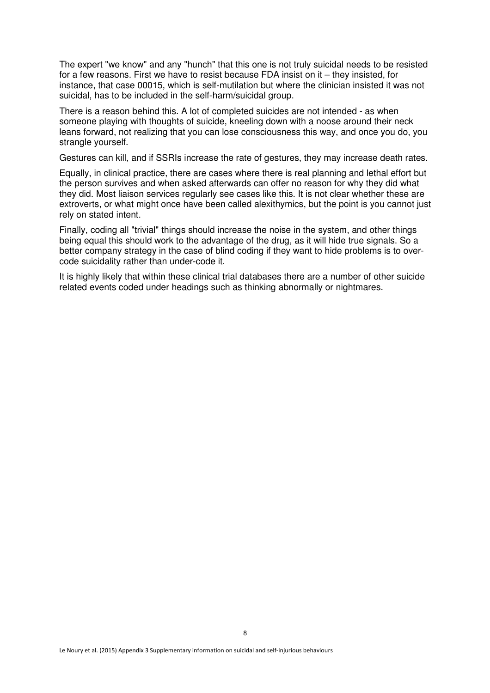The expert "we know" and any "hunch" that this one is not truly suicidal needs to be resisted for a few reasons. First we have to resist because FDA insist on it – they insisted, for instance, that case 00015, which is self-mutilation but where the clinician insisted it was not suicidal, has to be included in the self-harm/suicidal group.

There is a reason behind this. A lot of completed suicides are not intended - as when someone playing with thoughts of suicide, kneeling down with a noose around their neck leans forward, not realizing that you can lose consciousness this way, and once you do, you strangle yourself.

Gestures can kill, and if SSRIs increase the rate of gestures, they may increase death rates.

Equally, in clinical practice, there are cases where there is real planning and lethal effort but the person survives and when asked afterwards can offer no reason for why they did what they did. Most liaison services regularly see cases like this. It is not clear whether these are extroverts, or what might once have been called alexithymics, but the point is you cannot just rely on stated intent.

Finally, coding all "trivial" things should increase the noise in the system, and other things being equal this should work to the advantage of the drug, as it will hide true signals. So a better company strategy in the case of blind coding if they want to hide problems is to overcode suicidality rather than under-code it.

It is highly likely that within these clinical trial databases there are a number of other suicide related events coded under headings such as thinking abnormally or nightmares.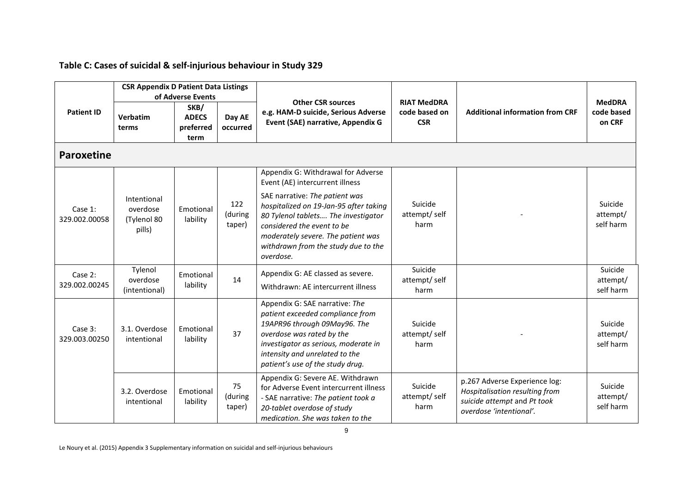|                          | <b>CSR Appendix D Patient Data Listings</b><br>of Adverse Events |                                           |                          | <b>Other CSR sources</b>                                                                                                                                                                                                                      | <b>RIAT MedDRA</b>              |                                                                                                                           | <b>MedDRA</b>                    |
|--------------------------|------------------------------------------------------------------|-------------------------------------------|--------------------------|-----------------------------------------------------------------------------------------------------------------------------------------------------------------------------------------------------------------------------------------------|---------------------------------|---------------------------------------------------------------------------------------------------------------------------|----------------------------------|
| <b>Patient ID</b>        | Verbatim<br>terms                                                | SKB/<br><b>ADECS</b><br>preferred<br>term | Day AE<br>occurred       | e.g. HAM-D suicide, Serious Adverse<br>Event (SAE) narrative, Appendix G                                                                                                                                                                      | code based on<br><b>CSR</b>     | <b>Additional information from CRF</b>                                                                                    | code based<br>on CRF             |
| <b>Paroxetine</b>        |                                                                  |                                           |                          |                                                                                                                                                                                                                                               |                                 |                                                                                                                           |                                  |
|                          |                                                                  |                                           |                          | Appendix G: Withdrawal for Adverse<br>Event (AE) intercurrent illness                                                                                                                                                                         |                                 |                                                                                                                           |                                  |
| Case 1:<br>329.002.00058 | Intentional<br>overdose<br>(Tylenol 80<br>pills)                 | Emotional<br>lability                     | 122<br>(during<br>taper) | SAE narrative: The patient was<br>hospitalized on 19-Jan-95 after taking<br>80 Tylenol tablets The investigator<br>considered the event to be<br>moderately severe. The patient was<br>withdrawn from the study due to the<br>overdose.       | Suicide<br>attempt/self<br>harm |                                                                                                                           | Suicide<br>attempt/<br>self harm |
| Case 2:<br>329.002.00245 | Tylenol<br>overdose<br>(intentional)                             | Emotional<br>lability                     | 14                       | Appendix G: AE classed as severe.<br>Withdrawn: AE intercurrent illness                                                                                                                                                                       | Suicide<br>attempt/self<br>harm |                                                                                                                           | Suicide<br>attempt/<br>self harm |
| Case 3:<br>329.003.00250 | 3.1. Overdose<br>intentional                                     | Emotional<br>lability                     | 37                       | Appendix G: SAE narrative: The<br>patient exceeded compliance from<br>19APR96 through 09May96. The<br>overdose was rated by the<br>investigator as serious, moderate in<br>intensity and unrelated to the<br>patient's use of the study drug. | Suicide<br>attempt/self<br>harm |                                                                                                                           | Suicide<br>attempt/<br>self harm |
|                          | 3.2. Overdose<br>intentional                                     | Emotional<br>lability                     | 75<br>(during<br>taper)  | Appendix G: Severe AE. Withdrawn<br>for Adverse Event intercurrent illness<br>- SAE narrative: The patient took a<br>20-tablet overdose of study<br>medication. She was taken to the                                                          | Suicide<br>attempt/self<br>harm | p.267 Adverse Experience log:<br>Hospitalisation resulting from<br>suicide attempt and Pt took<br>overdose 'intentional'. | Suicide<br>attempt/<br>self harm |

## Table C: Cases of suicidal & self-injurious behaviour in Study 329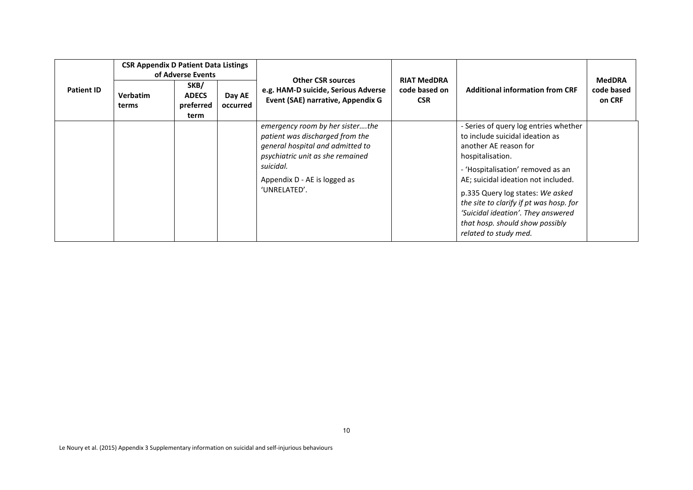| <b>Patient ID</b> | <b>CSR Appendix D Patient Data Listings</b><br>of Adverse Events<br>SKB/<br><b>Verbatim</b><br>Day AE<br><b>ADECS</b> |                   |          | <b>Other CSR sources</b><br>e.g. HAM-D suicide, Serious Adverse                                                                                                                                         | <b>RIAT MedDRA</b><br>code based on | <b>Additional information from CRF</b>                                                                                                                                                                                                                                                                                                                                             | <b>MedDRA</b><br>code based |
|-------------------|-----------------------------------------------------------------------------------------------------------------------|-------------------|----------|---------------------------------------------------------------------------------------------------------------------------------------------------------------------------------------------------------|-------------------------------------|------------------------------------------------------------------------------------------------------------------------------------------------------------------------------------------------------------------------------------------------------------------------------------------------------------------------------------------------------------------------------------|-----------------------------|
|                   | terms                                                                                                                 | preferred<br>term | occurred | Event (SAE) narrative, Appendix G                                                                                                                                                                       | <b>CSR</b>                          |                                                                                                                                                                                                                                                                                                                                                                                    | on CRF                      |
|                   |                                                                                                                       |                   |          | emergency room by her sisterthe<br>patient was discharged from the<br>general hospital and admitted to<br>psychiatric unit as she remained<br>suicidal.<br>Appendix D - AE is logged as<br>'UNRELATED'. |                                     | - Series of query log entries whether<br>to include suicidal ideation as<br>another AE reason for<br>hospitalisation.<br>- 'Hospitalisation' removed as an<br>AE; suicidal ideation not included.<br>p.335 Query log states: We asked<br>the site to clarify if pt was hosp. for<br>'Suicidal ideation'. They answered<br>that hosp. should show possibly<br>related to study med. |                             |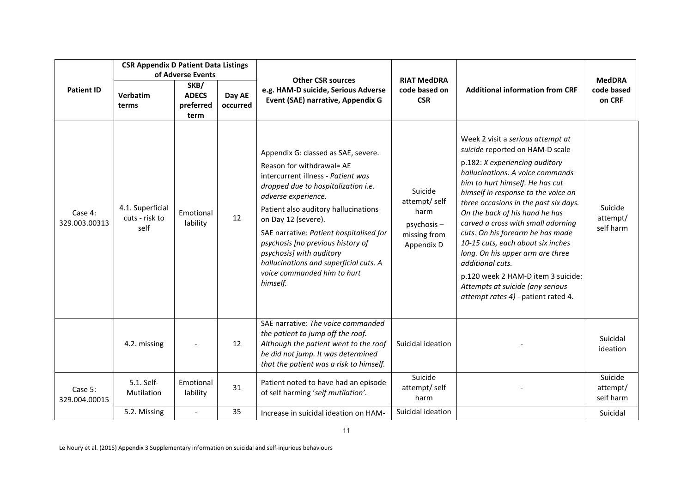|                          | <b>CSR Appendix D Patient Data Listings</b><br>of Adverse Events |                                           |                    |                                                                                                                                                                                                                                                                                                                                                                                                                                      |                                                                             |                                                                                                                                                                                                                                                                                                                                                                                                                                                                                                                                                                                         |                                       |
|--------------------------|------------------------------------------------------------------|-------------------------------------------|--------------------|--------------------------------------------------------------------------------------------------------------------------------------------------------------------------------------------------------------------------------------------------------------------------------------------------------------------------------------------------------------------------------------------------------------------------------------|-----------------------------------------------------------------------------|-----------------------------------------------------------------------------------------------------------------------------------------------------------------------------------------------------------------------------------------------------------------------------------------------------------------------------------------------------------------------------------------------------------------------------------------------------------------------------------------------------------------------------------------------------------------------------------------|---------------------------------------|
| <b>Patient ID</b>        | <b>Verbatim</b><br>terms                                         | SKB/<br><b>ADECS</b><br>preferred<br>term | Day AE<br>occurred | <b>Other CSR sources</b><br>e.g. HAM-D suicide, Serious Adverse<br>Event (SAE) narrative, Appendix G                                                                                                                                                                                                                                                                                                                                 | <b>RIAT MedDRA</b><br>code based on<br><b>CSR</b>                           | <b>Additional information from CRF</b>                                                                                                                                                                                                                                                                                                                                                                                                                                                                                                                                                  | <b>MedDRA</b><br>code based<br>on CRF |
| Case 4:<br>329.003.00313 | 4.1. Superficial<br>cuts - risk to<br>self                       | Emotional<br>lability                     | 12                 | Appendix G: classed as SAE, severe.<br>Reason for withdrawal= AE<br>intercurrent illness - Patient was<br>dropped due to hospitalization i.e.<br>adverse experience.<br>Patient also auditory hallucinations<br>on Day 12 (severe).<br>SAE narrative: Patient hospitalised for<br>psychosis [no previous history of<br>psychosis] with auditory<br>hallucinations and superficial cuts. A<br>voice commanded him to hurt<br>himself. | Suicide<br>attempt/self<br>harm<br>psychosis-<br>missing from<br>Appendix D | Week 2 visit a serious attempt at<br>suicide reported on HAM-D scale<br>p.182: X experiencing auditory<br>hallucinations. A voice commands<br>him to hurt himself. He has cut<br>himself in response to the voice on<br>three occasions in the past six days.<br>On the back of his hand he has<br>carved a cross with small adorning<br>cuts. On his forearm he has made<br>10-15 cuts, each about six inches<br>long. On his upper arm are three<br>additional cuts.<br>p.120 week 2 HAM-D item 3 suicide:<br>Attempts at suicide (any serious<br>attempt rates 4) - patient rated 4. | Suicide<br>attempt/<br>self harm      |
|                          | 4.2. missing                                                     |                                           | 12                 | SAE narrative: The voice commanded<br>the patient to jump off the roof.<br>Although the patient went to the roof<br>he did not jump. It was determined<br>that the patient was a risk to himself.                                                                                                                                                                                                                                    | Suicidal ideation                                                           |                                                                                                                                                                                                                                                                                                                                                                                                                                                                                                                                                                                         | Suicidal<br>ideation                  |
| Case 5:<br>329.004.00015 | 5.1. Self-<br>Mutilation                                         | Emotional<br>lability                     | 31                 | Patient noted to have had an episode<br>of self harming 'self mutilation'.                                                                                                                                                                                                                                                                                                                                                           | Suicide<br>attempt/self<br>harm                                             |                                                                                                                                                                                                                                                                                                                                                                                                                                                                                                                                                                                         | Suicide<br>attempt/<br>self harm      |
|                          | 5.2. Missing                                                     |                                           | 35                 | Increase in suicidal ideation on HAM-                                                                                                                                                                                                                                                                                                                                                                                                | Suicidal ideation                                                           |                                                                                                                                                                                                                                                                                                                                                                                                                                                                                                                                                                                         | Suicidal                              |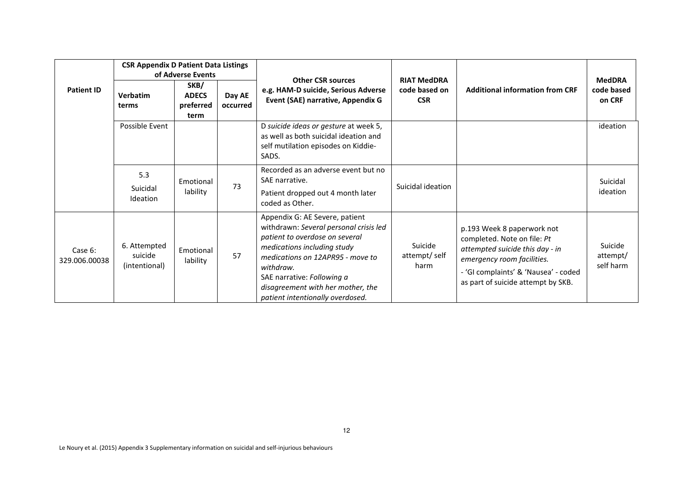|                          | <b>CSR Appendix D Patient Data Listings</b><br>of Adverse Events |                                           |                    | <b>Other CSR sources</b>                                                                                                                                                                                                                                                                          |                                                   |                                                                                                                                                                                                          | <b>MedDRA</b>                    |
|--------------------------|------------------------------------------------------------------|-------------------------------------------|--------------------|---------------------------------------------------------------------------------------------------------------------------------------------------------------------------------------------------------------------------------------------------------------------------------------------------|---------------------------------------------------|----------------------------------------------------------------------------------------------------------------------------------------------------------------------------------------------------------|----------------------------------|
| <b>Patient ID</b>        | Verbatim<br>terms                                                | SKB/<br><b>ADECS</b><br>preferred<br>term | Day AE<br>occurred | e.g. HAM-D suicide, Serious Adverse<br>Event (SAE) narrative, Appendix G                                                                                                                                                                                                                          | <b>RIAT MedDRA</b><br>code based on<br><b>CSR</b> | <b>Additional information from CRF</b>                                                                                                                                                                   | code based<br>on CRF             |
|                          | Possible Event                                                   |                                           |                    | D suicide ideas or gesture at week 5,<br>as well as both suicidal ideation and<br>self mutilation episodes on Kiddie-<br>SADS.                                                                                                                                                                    |                                                   |                                                                                                                                                                                                          | ideation                         |
|                          | 5.3<br>Suicidal<br>Ideation                                      | Emotional<br>lability                     | 73                 | Recorded as an adverse event but no<br>SAE narrative.<br>Patient dropped out 4 month later<br>coded as Other.                                                                                                                                                                                     | Suicidal ideation                                 |                                                                                                                                                                                                          | Suicidal<br>ideation             |
| Case 6:<br>329.006.00038 | 6. Attempted<br>suicide<br>(intentional)                         | Emotional<br>lability                     | 57                 | Appendix G: AE Severe, patient<br>withdrawn: Several personal crisis led<br>patient to overdose on several<br>medications including study<br>medications on 12APR95 - move to<br>withdraw.<br>SAE narrative: Following a<br>disagreement with her mother, the<br>patient intentionally overdosed. | Suicide<br>attempt/self<br>harm                   | p.193 Week 8 paperwork not<br>completed. Note on file: Pt<br>attempted suicide this day - in<br>emergency room facilities.<br>- 'GI complaints' & 'Nausea' - coded<br>as part of suicide attempt by SKB. | Suicide<br>attempt/<br>self harm |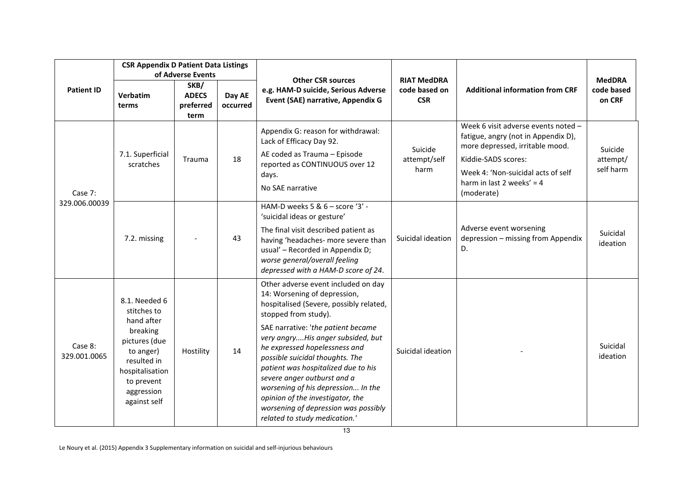|                         | <b>CSR Appendix D Patient Data Listings</b>                                                                                                                        |                                                                |                    |                                                                                                                                                                                                                                                                                                                                                                                                                                                                                                                |                                                   |                                                                                                                                                                                                                         |                                       |
|-------------------------|--------------------------------------------------------------------------------------------------------------------------------------------------------------------|----------------------------------------------------------------|--------------------|----------------------------------------------------------------------------------------------------------------------------------------------------------------------------------------------------------------------------------------------------------------------------------------------------------------------------------------------------------------------------------------------------------------------------------------------------------------------------------------------------------------|---------------------------------------------------|-------------------------------------------------------------------------------------------------------------------------------------------------------------------------------------------------------------------------|---------------------------------------|
| <b>Patient ID</b>       | Verbatim<br>terms                                                                                                                                                  | of Adverse Events<br>SKB/<br><b>ADECS</b><br>preferred<br>term | Day AE<br>occurred | <b>Other CSR sources</b><br>e.g. HAM-D suicide, Serious Adverse<br>Event (SAE) narrative, Appendix G                                                                                                                                                                                                                                                                                                                                                                                                           | <b>RIAT MedDRA</b><br>code based on<br><b>CSR</b> | <b>Additional information from CRF</b>                                                                                                                                                                                  | <b>MedDRA</b><br>code based<br>on CRF |
| Case 7:                 | 7.1. Superficial<br>scratches                                                                                                                                      | <b>Trauma</b>                                                  | 18                 | Appendix G: reason for withdrawal:<br>Lack of Efficacy Day 92.<br>AE coded as Trauma - Episode<br>reported as CONTINUOUS over 12<br>days.<br>No SAE narrative                                                                                                                                                                                                                                                                                                                                                  | Suicide<br>attempt/self<br>harm                   | Week 6 visit adverse events noted -<br>fatigue, angry (not in Appendix D),<br>more depressed, irritable mood.<br>Kiddie-SADS scores:<br>Week 4: 'Non-suicidal acts of self<br>harm in last 2 weeks' = $4$<br>(moderate) | Suicide<br>attempt/<br>self harm      |
| 329.006.00039           | 7.2. missing                                                                                                                                                       |                                                                | 43                 | HAM-D weeks 5 & $6 -$ score '3' -<br>'suicidal ideas or gesture'<br>The final visit described patient as<br>having 'headaches- more severe than<br>usual' - Recorded in Appendix D;<br>worse general/overall feeling<br>depressed with a HAM-D score of 24.                                                                                                                                                                                                                                                    | Suicidal ideation                                 | Adverse event worsening<br>depression - missing from Appendix<br>D.                                                                                                                                                     | Suicidal<br>ideation                  |
| Case 8:<br>329.001.0065 | 8.1. Needed 6<br>stitches to<br>hand after<br>breaking<br>pictures (due<br>to anger)<br>resulted in<br>hospitalisation<br>to prevent<br>aggression<br>against self | Hostility                                                      | 14                 | Other adverse event included on day<br>14: Worsening of depression,<br>hospitalised (Severe, possibly related,<br>stopped from study).<br>SAE narrative: 'the patient became<br>very angryHis anger subsided, but<br>he expressed hopelessness and<br>possible suicidal thoughts. The<br>patient was hospitalized due to his<br>severe anger outburst and a<br>worsening of his depression In the<br>opinion of the investigator, the<br>worsening of depression was possibly<br>related to study medication.' | Suicidal ideation                                 |                                                                                                                                                                                                                         | Suicidal<br>ideation                  |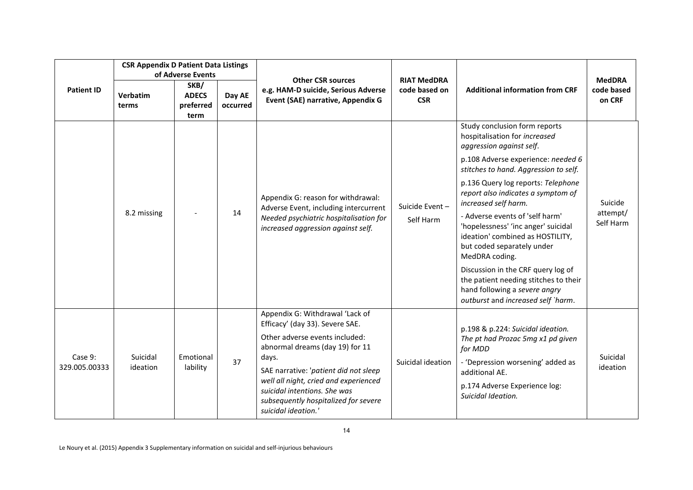|                          | <b>CSR Appendix D Patient Data Listings</b> | of Adverse Events                         |                    |                                                                                                                                                                                                                                                                                                                                   | <b>RIAT MedDRA</b><br>code based on<br><b>CSR</b> |                                                                                                                                                                                                                                                                                                                                                                                                                                                                                                                                                                                                   | <b>MedDRA</b><br>code based<br>on CRF |
|--------------------------|---------------------------------------------|-------------------------------------------|--------------------|-----------------------------------------------------------------------------------------------------------------------------------------------------------------------------------------------------------------------------------------------------------------------------------------------------------------------------------|---------------------------------------------------|---------------------------------------------------------------------------------------------------------------------------------------------------------------------------------------------------------------------------------------------------------------------------------------------------------------------------------------------------------------------------------------------------------------------------------------------------------------------------------------------------------------------------------------------------------------------------------------------------|---------------------------------------|
| <b>Patient ID</b>        | Verbatim<br>terms                           | SKB/<br><b>ADECS</b><br>preferred<br>term | Day AE<br>occurred | <b>Other CSR sources</b><br>e.g. HAM-D suicide, Serious Adverse<br>Event (SAE) narrative, Appendix G                                                                                                                                                                                                                              |                                                   | <b>Additional information from CRF</b>                                                                                                                                                                                                                                                                                                                                                                                                                                                                                                                                                            |                                       |
|                          | 8.2 missing                                 |                                           | 14                 | Appendix G: reason for withdrawal:<br>Adverse Event, including intercurrent<br>Needed psychiatric hospitalisation for<br>increased aggression against self.                                                                                                                                                                       | Suicide Event-<br>Self Harm                       | Study conclusion form reports<br>hospitalisation for increased<br>aggression against self.<br>p.108 Adverse experience: needed 6<br>stitches to hand. Aggression to self.<br>p.136 Query log reports: Telephone<br>report also indicates a symptom of<br>increased self harm.<br>- Adverse events of 'self harm'<br>'hopelessness' 'inc anger' suicidal<br>ideation' combined as HOSTILITY,<br>but coded separately under<br>MedDRA coding.<br>Discussion in the CRF query log of<br>the patient needing stitches to their<br>hand following a severe angry<br>outburst and increased self `harm. | Suicide<br>attempt/<br>Self Harm      |
| Case 9:<br>329.005.00333 | Suicidal<br>ideation                        | Emotional<br>lability                     | 37                 | Appendix G: Withdrawal 'Lack of<br>Efficacy' (day 33). Severe SAE.<br>Other adverse events included:<br>abnormal dreams (day 19) for 11<br>days.<br>SAE narrative: 'patient did not sleep<br>well all night, cried and experienced<br>suicidal intentions. She was<br>subsequently hospitalized for severe<br>suicidal ideation.' | Suicidal ideation                                 | p.198 & p.224: Suicidal ideation.<br>The pt had Prozac 5mg x1 pd given<br>for MDD<br>- 'Depression worsening' added as<br>additional AE.<br>p.174 Adverse Experience log:<br>Suicidal Ideation.                                                                                                                                                                                                                                                                                                                                                                                                   | Suicidal<br>ideation                  |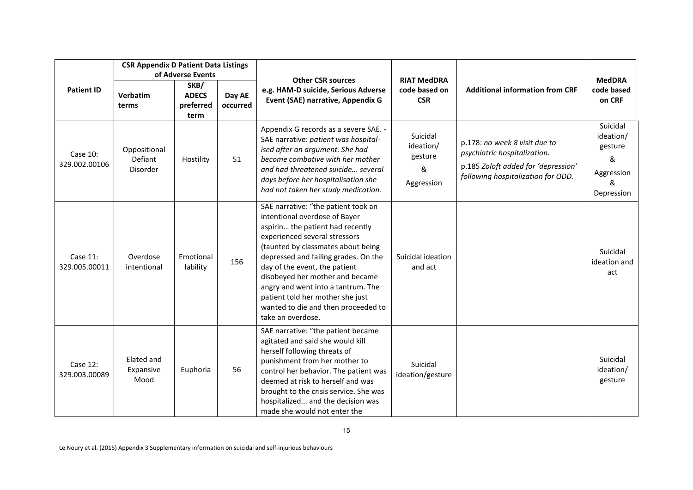|                           | <b>CSR Appendix D Patient Data Listings</b><br>of Adverse Events |                                           |                    |                                                                                                                                                                                                                                                                                                                                                                                                                                   |                                                     |                                                                                                                                            |                                                                        |
|---------------------------|------------------------------------------------------------------|-------------------------------------------|--------------------|-----------------------------------------------------------------------------------------------------------------------------------------------------------------------------------------------------------------------------------------------------------------------------------------------------------------------------------------------------------------------------------------------------------------------------------|-----------------------------------------------------|--------------------------------------------------------------------------------------------------------------------------------------------|------------------------------------------------------------------------|
| <b>Patient ID</b>         | <b>Verbatim</b><br>terms                                         | SKB/<br><b>ADECS</b><br>preferred<br>term | Day AE<br>occurred | <b>Other CSR sources</b><br>e.g. HAM-D suicide, Serious Adverse<br>Event (SAE) narrative, Appendix G                                                                                                                                                                                                                                                                                                                              | <b>RIAT MedDRA</b><br>code based on<br><b>CSR</b>   | <b>Additional information from CRF</b>                                                                                                     | <b>MedDRA</b><br>code based<br>on CRF                                  |
| Case 10:<br>329.002.00106 | Oppositional<br>Defiant<br>Disorder                              | Hostility                                 | 51                 | Appendix G records as a severe SAE. -<br>SAE narrative: patient was hospital-<br>ised after an argument. She had<br>become combative with her mother<br>and had threatened suicide several<br>days before her hospitalisation she<br>had not taken her study medication.                                                                                                                                                          | Suicidal<br>ideation/<br>gesture<br>&<br>Aggression | p.178: no week 8 visit due to<br>psychiatric hospitalization.<br>p.185 Zoloft added for 'depression'<br>following hospitalization for ODD. | Suicidal<br>ideation/<br>gesture<br>&<br>Aggression<br>&<br>Depression |
| Case 11:<br>329.005.00011 | Overdose<br>intentional                                          | Emotional<br>lability                     | 156                | SAE narrative: "the patient took an<br>intentional overdose of Bayer<br>aspirin the patient had recently<br>experienced several stressors<br>(taunted by classmates about being<br>depressed and failing grades. On the<br>day of the event, the patient<br>disobeyed her mother and became<br>angry and went into a tantrum. The<br>patient told her mother she just<br>wanted to die and then proceeded to<br>take an overdose. | Suicidal ideation<br>and act                        |                                                                                                                                            | Suicidal<br>ideation and<br>act                                        |
| Case 12:<br>329.003.00089 | Elated and<br>Expansive<br>Mood                                  | Euphoria                                  | 56                 | SAE narrative: "the patient became<br>agitated and said she would kill<br>herself following threats of<br>punishment from her mother to<br>control her behavior. The patient was<br>deemed at risk to herself and was<br>brought to the crisis service. She was<br>hospitalized and the decision was<br>made she would not enter the                                                                                              | Suicidal<br>ideation/gesture                        |                                                                                                                                            | Suicidal<br>ideation/<br>gesture                                       |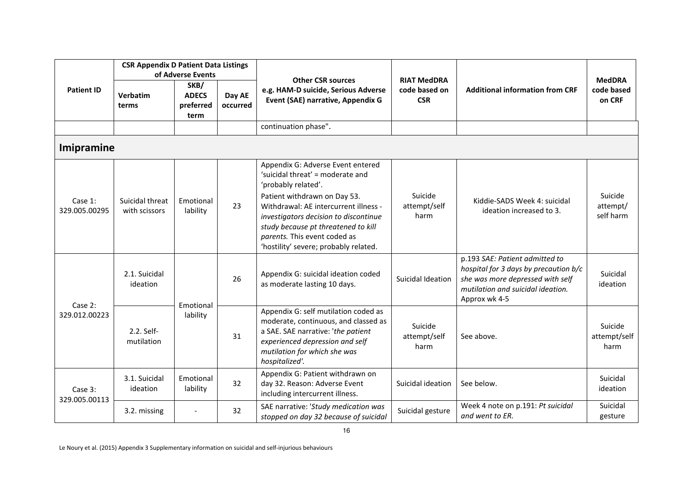|                          | <b>CSR Appendix D Patient Data Listings</b><br>of Adverse Events |                                           |                    | <b>Other CSR sources</b>                                                                                                                                                                                                                                                                                                       | <b>RIAT MedDRA</b>              |                                                                                                                                                                   | <b>MedDRA</b>                    |
|--------------------------|------------------------------------------------------------------|-------------------------------------------|--------------------|--------------------------------------------------------------------------------------------------------------------------------------------------------------------------------------------------------------------------------------------------------------------------------------------------------------------------------|---------------------------------|-------------------------------------------------------------------------------------------------------------------------------------------------------------------|----------------------------------|
| <b>Patient ID</b>        | Verbatim<br>terms                                                | SKB/<br><b>ADECS</b><br>preferred<br>term | Day AE<br>occurred | e.g. HAM-D suicide, Serious Adverse<br>Event (SAE) narrative, Appendix G                                                                                                                                                                                                                                                       | code based on<br><b>CSR</b>     | <b>Additional information from CRF</b>                                                                                                                            | code based<br>on CRF             |
|                          |                                                                  |                                           |                    | continuation phase".                                                                                                                                                                                                                                                                                                           |                                 |                                                                                                                                                                   |                                  |
| Imipramine               |                                                                  |                                           |                    |                                                                                                                                                                                                                                                                                                                                |                                 |                                                                                                                                                                   |                                  |
| Case 1:<br>329.005.00295 | Suicidal threat<br>with scissors                                 | Emotional<br>lability                     | 23                 | Appendix G: Adverse Event entered<br>'suicidal threat' = moderate and<br>'probably related'.<br>Patient withdrawn on Day 53.<br>Withdrawal: AE intercurrent illness -<br>investigators decision to discontinue<br>study because pt threatened to kill<br>parents. This event coded as<br>'hostility' severe; probably related. | Suicide<br>attempt/self<br>harm | Kiddie-SADS Week 4: suicidal<br>ideation increased to 3.                                                                                                          | Suicide<br>attempt/<br>self harm |
| Case 2:<br>329.012.00223 | 2.1. Suicidal<br>ideation                                        | Emotional<br>lability                     | 26                 | Appendix G: suicidal ideation coded<br>as moderate lasting 10 days.                                                                                                                                                                                                                                                            | Suicidal Ideation               | p.193 SAE: Patient admitted to<br>hospital for 3 days by precaution b/c<br>she was more depressed with self<br>mutilation and suicidal ideation.<br>Approx wk 4-5 | Suicidal<br>ideation             |
|                          | 2.2. Self-<br>mutilation                                         |                                           | 31                 | Appendix G: self mutilation coded as<br>moderate, continuous, and classed as<br>a SAE. SAE narrative: 'the patient<br>experienced depression and self<br>mutilation for which she was<br>hospitalized'.                                                                                                                        | Suicide<br>attempt/self<br>harm | See above.                                                                                                                                                        | Suicide<br>attempt/self<br>harm  |
| Case 3:<br>329.005.00113 | 3.1. Suicidal<br>ideation                                        | Emotional<br>lability                     | 32                 | Appendix G: Patient withdrawn on<br>day 32. Reason: Adverse Event<br>including intercurrent illness.                                                                                                                                                                                                                           | Suicidal ideation               | See below.                                                                                                                                                        | Suicidal<br>ideation             |
|                          | 3.2. missing                                                     | $\overline{\phantom{a}}$                  | 32                 | SAE narrative: 'Study medication was<br>stopped on day 32 because of suicidal                                                                                                                                                                                                                                                  | Suicidal gesture                | Week 4 note on p.191: Pt suicidal<br>and went to ER.                                                                                                              | Suicidal<br>gesture              |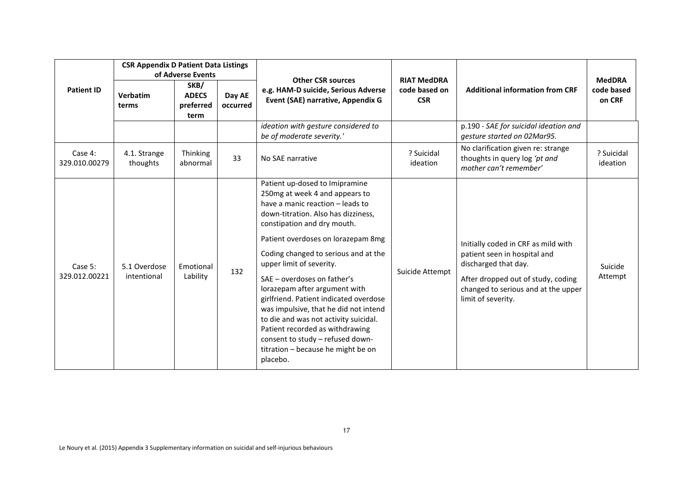|                          | <b>CSR Appendix D Patient Data Listings</b><br>of Adverse Events |                                           |                    | <b>Other CSR sources</b>                                                                                                                                                                                                                                                                                                                                                                                                                                                                                                                                                                                  | <b>RIAT MedDRA</b>          |                                                                                                                                                                                                | <b>MedDRA</b>          |
|--------------------------|------------------------------------------------------------------|-------------------------------------------|--------------------|-----------------------------------------------------------------------------------------------------------------------------------------------------------------------------------------------------------------------------------------------------------------------------------------------------------------------------------------------------------------------------------------------------------------------------------------------------------------------------------------------------------------------------------------------------------------------------------------------------------|-----------------------------|------------------------------------------------------------------------------------------------------------------------------------------------------------------------------------------------|------------------------|
| <b>Patient ID</b>        | Verbatim<br>terms                                                | SKB/<br><b>ADECS</b><br>preferred<br>term | Day AE<br>occurred | e.g. HAM-D suicide, Serious Adverse<br>Event (SAE) narrative, Appendix G                                                                                                                                                                                                                                                                                                                                                                                                                                                                                                                                  | code based on<br><b>CSR</b> | <b>Additional information from CRF</b>                                                                                                                                                         | code based<br>on CRF   |
|                          |                                                                  |                                           |                    | ideation with gesture considered to<br>be of moderate severity.'                                                                                                                                                                                                                                                                                                                                                                                                                                                                                                                                          |                             | p.190 - SAE for suicidal ideation and<br>gesture started on 02Mar95.                                                                                                                           |                        |
| Case 4:<br>329.010.00279 | 4.1. Strange<br>thoughts                                         | Thinking<br>abnormal                      | 33                 | No SAE narrative                                                                                                                                                                                                                                                                                                                                                                                                                                                                                                                                                                                          | ? Suicidal<br>ideation      | No clarification given re: strange<br>thoughts in query log 'pt and<br>mother can't remember'                                                                                                  | ? Suicidal<br>ideation |
| Case 5:<br>329.012.00221 | 5.1 Overdose<br>intentional                                      | Emotional<br>Lability                     | 132                | Patient up-dosed to Imipramine<br>250mg at week 4 and appears to<br>have a manic reaction - leads to<br>down-titration. Also has dizziness,<br>constipation and dry mouth.<br>Patient overdoses on lorazepam 8mg<br>Coding changed to serious and at the<br>upper limit of severity.<br>SAE - overdoses on father's<br>lorazepam after argument with<br>girlfriend. Patient indicated overdose<br>was impulsive, that he did not intend<br>to die and was not activity suicidal.<br>Patient recorded as withdrawing<br>consent to study - refused down-<br>titration - because he might be on<br>placebo. | Suicide Attempt             | Initially coded in CRF as mild with<br>patient seen in hospital and<br>discharged that day.<br>After dropped out of study, coding<br>changed to serious and at the upper<br>limit of severity. | Suicide<br>Attempt     |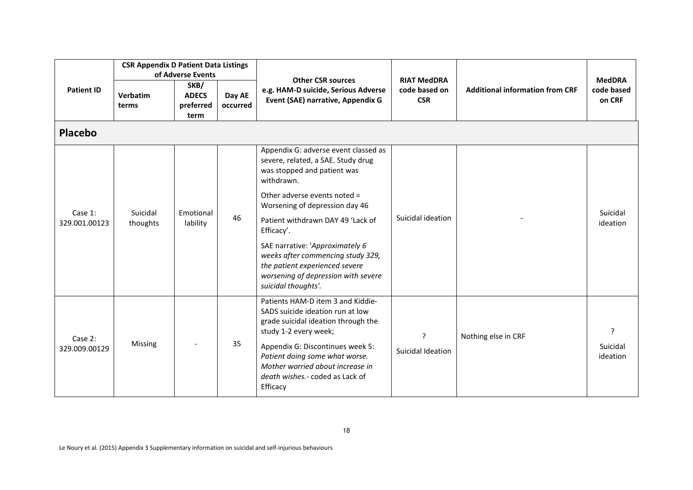| <b>Patient ID</b>        | <b>CSR Appendix D Patient Data Listings</b><br>of Adverse Events |                                           |                    |                                                                                                                                                                                                                                                                                                | <b>RIAT MedDRA</b>          |                                        | <b>MedDRA</b>             |  |  |  |  |  |  |
|--------------------------|------------------------------------------------------------------|-------------------------------------------|--------------------|------------------------------------------------------------------------------------------------------------------------------------------------------------------------------------------------------------------------------------------------------------------------------------------------|-----------------------------|----------------------------------------|---------------------------|--|--|--|--|--|--|
|                          | Verbatim<br>terms                                                | SKB/<br><b>ADECS</b><br>preferred<br>term | Day AE<br>occurred | <b>Other CSR sources</b><br>e.g. HAM-D suicide, Serious Adverse<br>Event (SAE) narrative, Appendix G                                                                                                                                                                                           | code based on<br><b>CSR</b> | <b>Additional information from CRF</b> | code based<br>on CRF      |  |  |  |  |  |  |
| <b>Placebo</b>           |                                                                  |                                           |                    |                                                                                                                                                                                                                                                                                                |                             |                                        |                           |  |  |  |  |  |  |
| Case 1:<br>329.001.00123 | Suicidal<br>thoughts                                             | Emotional<br>lability                     | 46                 | Appendix G: adverse event classed as<br>severe, related, a SAE. Study drug<br>was stopped and patient was<br>withdrawn.                                                                                                                                                                        | Suicidal ideation           |                                        | Suicidal<br>ideation      |  |  |  |  |  |  |
|                          |                                                                  |                                           |                    | Other adverse events noted =<br>Worsening of depression day 46                                                                                                                                                                                                                                 |                             |                                        |                           |  |  |  |  |  |  |
|                          |                                                                  |                                           |                    | Patient withdrawn DAY 49 'Lack of<br>Efficacy'.                                                                                                                                                                                                                                                |                             |                                        |                           |  |  |  |  |  |  |
|                          |                                                                  |                                           |                    | SAE narrative: 'Approximately 6<br>weeks after commencing study 329,<br>the patient experienced severe<br>worsening of depression with severe<br>suicidal thoughts'.                                                                                                                           |                             |                                        |                           |  |  |  |  |  |  |
| Case 2:<br>329.009.00129 | Missing                                                          |                                           | 35                 | Patients HAM-D item 3 and Kiddie-<br>SADS suicide ideation run at low<br>grade suicidal ideation through the<br>study 1-2 every week;<br>Appendix G: Discontinues week 5:<br>Patient doing some what worse.<br>Mother worried about increase in<br>death wishes.- coded as Lack of<br>Efficacy | ?<br>Suicidal Ideation      | Nothing else in CRF                    | 2<br>Suicidal<br>ideation |  |  |  |  |  |  |